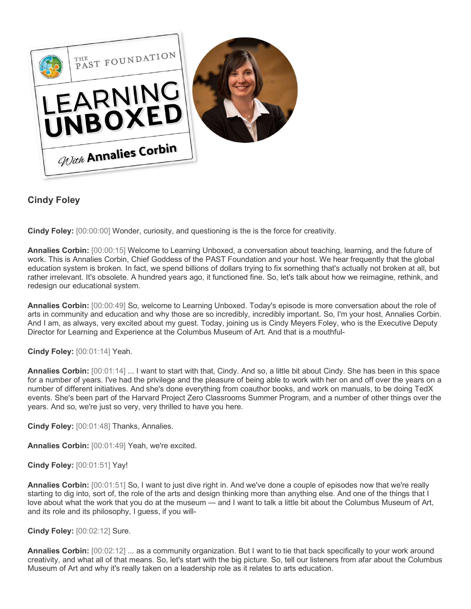

**Cindy Foley**

**Cindy Foley:** [00:00:00] Wonder, curiosity, and questioning is the is the force for creativity.

**Annalies Corbin:** [00:00:15] Welcome to Learning Unboxed, a conversation about teaching, learning, and the future of work. This is Annalies Corbin, Chief Goddess of the PAST Foundation and your host. We hear frequently that the global education system is broken. In fact, we spend billions of dollars trying to fix something that's actually not broken at all, but rather irrelevant. It's obsolete. A hundred years ago, it functioned fine. So, let's talk about how we reimagine, rethink, and redesign our educational system.

**Annalies Corbin:** [00:00:49] So, welcome to Learning Unboxed. Today's episode is more conversation about the role of arts in community and education and why those are so incredibly, incredibly important. So, I'm your host, Annalies Corbin. And I am, as always, very excited about my guest. Today, joining us is Cindy Meyers Foley, who is the Executive Deputy Director for Learning and Experience at the Columbus Museum of Art. And that is a mouthful-

**Cindy Foley:** [00:01:14] Yeah.

**Annalies Corbin:** [00:01:14] ... I want to start with that, Cindy. And so, a little bit about Cindy. She has been in this space for a number of years. I've had the privilege and the pleasure of being able to work with her on and off over the years on a number of different initiatives. And she's done everything from coauthor books, and work on manuals, to be doing TedX events. She's been part of the Harvard Project Zero Classrooms Summer Program, and a number of other things over the years. And so, we're just so very, very thrilled to have you here.

**Cindy Foley:** [00:01:48] Thanks, Annalies.

**Annalies Corbin:** [00:01:49] Yeah, we're excited.

**Cindy Foley:** [00:01:51] Yay!

**Annalies Corbin:** [00:01:51] So, I want to just dive right in. And we've done a couple of episodes now that we're really starting to dig into, sort of, the role of the arts and design thinking more than anything else. And one of the things that I love about what the work that you do at the museum — and I want to talk a little bit about the Columbus Museum of Art, and its role and its philosophy, I guess, if you will-

# **Cindy Foley:** [00:02:12] Sure.

**Annalies Corbin:** [00:02:12] ... as a community organization. But I want to tie that back specifically to your work around creativity, and what all of that means. So, let's start with the big picture. So, tell our listeners from afar about the Columbus Museum of Art and why it's really taken on a leadership role as it relates to arts education.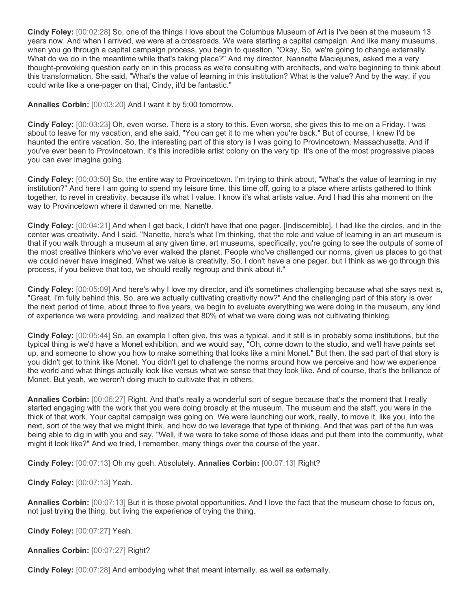**Cindy Foley:** [00:02:28] So, one of the things I love about the Columbus Museum of Art is I've been at the museum 13 years now. And when I arrived, we were at a crossroads. We were starting a capital campaign. And like many museums, when you go through a capital campaign process, you begin to question, "Okay, So, we're going to change externally. What do we do in the meantime while that's taking place?" And my director, Nannette Maciejunes, asked me a very thought-provoking question early on in this process as we're consulting with architects, and we're beginning to think about this transformation. She said, "What's the value of learning in this institution? What is the value? And by the way, if you could write like a one-pager on that, Cindy, it'd be fantastic."

**Annalies Corbin:** [00:03:20] And I want it by 5:00 tomorrow.

**Cindy Foley:** [00:03:23] Oh, even worse. There is a story to this. Even worse, she gives this to me on a Friday. I was about to leave for my vacation, and she said, "You can get it to me when you're back." But of course, I knew I'd be haunted the entire vacation. So, the interesting part of this story is I was going to Provincetown, Massachusetts. And if you've ever been to Provincetown, it's this incredible artist colony on the very tip. It's one of the most progressive places you can ever imagine going.

**Cindy Foley:** [00:03:50] So, the entire way to Provincetown. I'm trying to think about, "What's the value of learning in my institution?" And here I am going to spend my leisure time, this time off, going to a place where artists gathered to think together, to revel in creativity, because it's what I value. I know it's what artists value. And I had this aha moment on the way to Provincetown where it dawned on me, Nanette.

**Cindy Foley:** [00:04:21] And when I get back, I didn't have that one pager. [Indiscernible]. I had like the circles, and in the center was creativity. And I said, "Nanette, here's what I'm thinking, that the role and value of learning in an art museum is that if you walk through a museum at any given time, art museums, specifically, you're going to see the outputs of some of the most creative thinkers who've ever walked the planet. People who've challenged our norms, given us places to go that we could never have imagined. What we value is creativity. So, I don't have a one pager, but I think as we go through this process, if you believe that too, we should really regroup and think about it."

**Cindy Foley:** [00:05:09] And here's why I love my director, and it's sometimes challenging because what she says next is, "Great. I'm fully behind this. So, are we actually cultivating creativity now?" And the challenging part of this story is over the next period of time, about three to five years, we begin to evaluate everything we were doing in the museum, any kind of experience we were providing, and realized that 80% of what we were doing was not cultivating thinking.

**Cindy Foley:** [00:05:44] So, an example I often give, this was a typical, and it still is in probably some institutions, but the typical thing is we'd have a Monet exhibition, and we would say, "Oh, come down to the studio, and we'll have paints set up, and someone to show you how to make something that looks like a mini Monet." But then, the sad part of that story is you didn't get to think like Monet. You didn't get to challenge the norms around how we perceive and how we experience the world and what things actually look like versus what we sense that they look like. And of course, that's the brilliance of Monet. But yeah, we weren't doing much to cultivate that in others.

**Annalies Corbin:** [00:06:27] Right. And that's really a wonderful sort of segue because that's the moment that I really started engaging with the work that you were doing broadly at the museum. The museum and the staff, you were in the thick of that work. Your capital campaign was going on. We were launching our work, really, to move it, like you, into the next, sort of the way that we might think, and how do we leverage that type of thinking. And that was part of the fun was being able to dig in with you and say, "Well, if we were to take some of those ideas and put them into the community, what might it look like?" And we tried, I remember, many things over the course of the year.

**Cindy Foley:** [00:07:13] Oh my gosh. Absolutely. **Annalies Corbin:** [00:07:13] Right?

**Cindy Foley:** [00:07:13] Yeah.

**Annalies Corbin:** [00:07:13] But it is those pivotal opportunities. And I love the fact that the museum chose to focus on, not just trying the thing, but living the experience of trying the thing.

**Cindy Foley:** [00:07:27] Yeah.

**Annalies Corbin:** [00:07:27] Right?

**Cindy Foley:** [00:07:28] And embodying what that meant internally. as well as externally.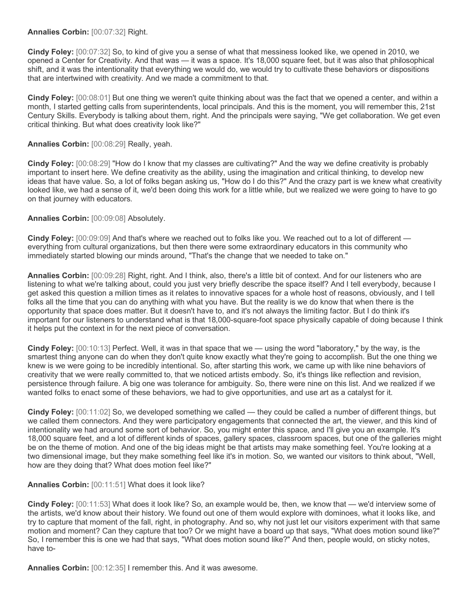## **Annalies Corbin:** [00:07:32] Right.

**Cindy Foley:** [00:07:32] So, to kind of give you a sense of what that messiness looked like, we opened in 2010, we opened a Center for Creativity. And that was — it was a space. It's 18,000 square feet, but it was also that philosophical shift, and it was the intentionality that everything we would do, we would try to cultivate these behaviors or dispositions that are intertwined with creativity. And we made a commitment to that.

**Cindy Foley:** [00:08:01] But one thing we weren't quite thinking about was the fact that we opened a center, and within a month, I started getting calls from superintendents, local principals. And this is the moment, you will remember this, 21st Century Skills. Everybody is talking about them, right. And the principals were saying, "We get collaboration. We get even critical thinking. But what does creativity look like?"

## **Annalies Corbin:** [00:08:29] Really, yeah.

**Cindy Foley:** [00:08:29] "How do I know that my classes are cultivating?" And the way we define creativity is probably important to insert here. We define creativity as the ability, using the imagination and critical thinking, to develop new ideas that have value. So, a lot of folks began asking us, "How do I do this?" And the crazy part is we knew what creativity looked like, we had a sense of it, we'd been doing this work for a little while, but we realized we were going to have to go on that journey with educators.

## **Annalies Corbin:** [00:09:08] Absolutely.

**Cindy Foley:** [00:09:09] And that's where we reached out to folks like you. We reached out to a lot of different everything from cultural organizations, but then there were some extraordinary educators in this community who immediately started blowing our minds around, "That's the change that we needed to take on."

**Annalies Corbin:** [00:09:28] Right, right. And I think, also, there's a little bit of context. And for our listeners who are listening to what we're talking about, could you just very briefly describe the space itself? And I tell everybody, because I get asked this question a million times as it relates to innovative spaces for a whole host of reasons, obviously, and I tell folks all the time that you can do anything with what you have. But the reality is we do know that when there is the opportunity that space does matter. But it doesn't have to, and it's not always the limiting factor. But I do think it's important for our listeners to understand what is that 18,000-square-foot space physically capable of doing because I think it helps put the context in for the next piece of conversation.

**Cindy Foley:** [00:10:13] Perfect. Well, it was in that space that we — using the word "laboratory," by the way, is the smartest thing anyone can do when they don't quite know exactly what they're going to accomplish. But the one thing we knew is we were going to be incredibly intentional. So, after starting this work, we came up with like nine behaviors of creativity that we were really committed to, that we noticed artists embody. So, it's things like reflection and revision, persistence through failure. A big one was tolerance for ambiguity. So, there were nine on this list. And we realized if we wanted folks to enact some of these behaviors, we had to give opportunities, and use art as a catalyst for it.

**Cindy Foley:** [00:11:02] So, we developed something we called — they could be called a number of different things, but we called them connectors. And they were participatory engagements that connected the art, the viewer, and this kind of intentionality we had around some sort of behavior. So, you might enter this space, and I'll give you an example. It's 18,000 square feet, and a lot of different kinds of spaces, gallery spaces, classroom spaces, but one of the galleries might be on the theme of motion. And one of the big ideas might be that artists may make something feel. You're looking at a two dimensional image, but they make something feel like it's in motion. So, we wanted our visitors to think about, "Well, how are they doing that? What does motion feel like?"

#### **Annalies Corbin:** [00:11:51] What does it look like?

**Cindy Foley:** [00:11:53] What does it look like? So, an example would be, then, we know that — we'd interview some of the artists, we'd know about their history. We found out one of them would explore with dominoes, what it looks like, and try to capture that moment of the fall, right, in photography. And so, why not just let our visitors experiment with that same motion and moment? Can they capture that too? Or we might have a board up that says, "What does motion sound like?" So, I remember this is one we had that says, "What does motion sound like?" And then, people would, on sticky notes, have to-

**Annalies Corbin:** [00:12:35] I remember this. And it was awesome.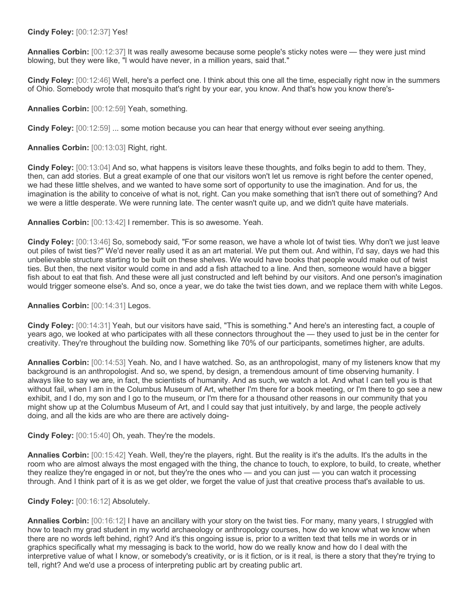## **Cindy Foley:** [00:12:37] Yes!

**Annalies Corbin:** [00:12:37] It was really awesome because some people's sticky notes were — they were just mind blowing, but they were like, "I would have never, in a million years, said that."

**Cindy Foley:** [00:12:46] Well, here's a perfect one. I think about this one all the time, especially right now in the summers of Ohio. Somebody wrote that mosquito that's right by your ear, you know. And that's how you know there's-

**Annalies Corbin:** [00:12:59] Yeah, something.

**Cindy Foley:** [00:12:59] ... some motion because you can hear that energy without ever seeing anything.

**Annalies Corbin:** [00:13:03] Right, right.

**Cindy Foley:** [00:13:04] And so, what happens is visitors leave these thoughts, and folks begin to add to them. They, then, can add stories. But a great example of one that our visitors won't let us remove is right before the center opened, we had these little shelves, and we wanted to have some sort of opportunity to use the imagination. And for us, the imagination is the ability to conceive of what is not, right. Can you make something that isn't there out of something? And we were a little desperate. We were running late. The center wasn't quite up, and we didn't quite have materials.

**Annalies Corbin:** [00:13:42] I remember. This is so awesome. Yeah.

**Cindy Foley:** [00:13:46] So, somebody said, "For some reason, we have a whole lot of twist ties. Why don't we just leave out piles of twist ties?" We'd never really used it as an art material. We put them out. And within, I'd say, days we had this unbelievable structure starting to be built on these shelves. We would have books that people would make out of twist ties. But then, the next visitor would come in and add a fish attached to a line. And then, someone would have a bigger fish about to eat that fish. And these were all just constructed and left behind by our visitors. And one person's imagination would trigger someone else's. And so, once a year, we do take the twist ties down, and we replace them with white Legos.

#### **Annalies Corbin:** [00:14:31] Legos.

**Cindy Foley:** [00:14:31] Yeah, but our visitors have said, "This is something." And here's an interesting fact, a couple of years ago, we looked at who participates with all these connectors throughout the — they used to just be in the center for creativity. They're throughout the building now. Something like 70% of our participants, sometimes higher, are adults.

**Annalies Corbin:** [00:14:53] Yeah. No, and I have watched. So, as an anthropologist, many of my listeners know that my background is an anthropologist. And so, we spend, by design, a tremendous amount of time observing humanity. I always like to say we are, in fact, the scientists of humanity. And as such, we watch a lot. And what I can tell you is that without fail, when I am in the Columbus Museum of Art, whether I'm there for a book meeting, or I'm there to go see a new exhibit, and I do, my son and I go to the museum, or I'm there for a thousand other reasons in our community that you might show up at the Columbus Museum of Art, and I could say that just intuitively, by and large, the people actively doing, and all the kids are who are there are actively doing-

**Cindy Foley:** [00:15:40] Oh, yeah. They're the models.

**Annalies Corbin:** [00:15:42] Yeah. Well, they're the players, right. But the reality is it's the adults. It's the adults in the room who are almost always the most engaged with the thing, the chance to touch, to explore, to build, to create, whether they realize they're engaged in or not, but they're the ones who — and you can just — you can watch it processing through. And I think part of it is as we get older, we forget the value of just that creative process that's available to us.

#### **Cindy Foley:** [00:16:12] Absolutely.

**Annalies Corbin:** [00:16:12] I have an ancillary with your story on the twist ties. For many, many years, I struggled with how to teach my grad student in my world archaeology or anthropology courses, how do we know what we know when there are no words left behind, right? And it's this ongoing issue is, prior to a written text that tells me in words or in graphics specifically what my messaging is back to the world, how do we really know and how do I deal with the interpretive value of what I know, or somebody's creativity, or is it fiction, or is it real, is there a story that they're trying to tell, right? And we'd use a process of interpreting public art by creating public art.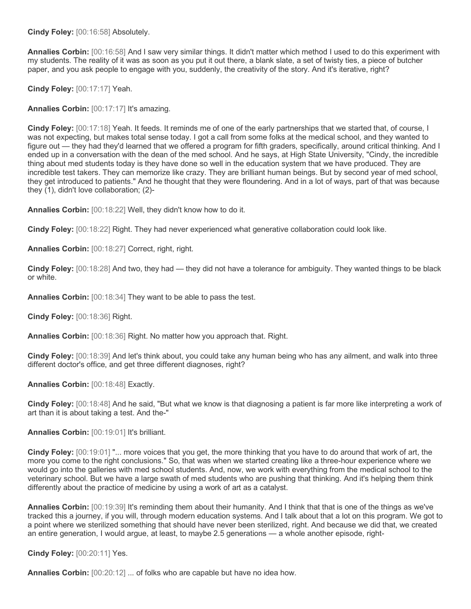**Cindy Foley:** [00:16:58] Absolutely.

**Annalies Corbin:** [00:16:58] And I saw very similar things. It didn't matter which method I used to do this experiment with my students. The reality of it was as soon as you put it out there, a blank slate, a set of twisty ties, a piece of butcher paper, and you ask people to engage with you, suddenly, the creativity of the story. And it's iterative, right?

**Cindy Foley:** [00:17:17] Yeah.

**Annalies Corbin:** [00:17:17] It's amazing.

**Cindy Foley:** [00:17:18] Yeah. It feeds. It reminds me of one of the early partnerships that we started that, of course, I was not expecting, but makes total sense today. I got a call from some folks at the medical school, and they wanted to figure out — they had they'd learned that we offered a program for fifth graders, specifically, around critical thinking. And I ended up in a conversation with the dean of the med school. And he says, at High State University, "Cindy, the incredible thing about med students today is they have done so well in the education system that we have produced. They are incredible test takers. They can memorize like crazy. They are brilliant human beings. But by second year of med school, they get introduced to patients." And he thought that they were floundering. And in a lot of ways, part of that was because they (1), didn't love collaboration; (2)-

**Annalies Corbin:** [00:18:22] Well, they didn't know how to do it.

**Cindy Foley:** [00:18:22] Right. They had never experienced what generative collaboration could look like.

**Annalies Corbin:** [00:18:27] Correct, right, right.

**Cindy Foley:** [00:18:28] And two, they had — they did not have a tolerance for ambiguity. They wanted things to be black or white.

**Annalies Corbin:** [00:18:34] They want to be able to pass the test.

**Cindy Foley:** [00:18:36] Right.

**Annalies Corbin:** [00:18:36] Right. No matter how you approach that. Right.

**Cindy Foley:** [00:18:39] And let's think about, you could take any human being who has any ailment, and walk into three different doctor's office, and get three different diagnoses, right?

**Annalies Corbin:** [00:18:48] Exactly.

**Cindy Foley:** [00:18:48] And he said, "But what we know is that diagnosing a patient is far more like interpreting a work of art than it is about taking a test. And the-"

**Annalies Corbin:** [00:19:01] It's brilliant.

**Cindy Foley:** [00:19:01] "... more voices that you get, the more thinking that you have to do around that work of art, the more you come to the right conclusions." So, that was when we started creating like a three-hour experience where we would go into the galleries with med school students. And, now, we work with everything from the medical school to the veterinary school. But we have a large swath of med students who are pushing that thinking. And it's helping them think differently about the practice of medicine by using a work of art as a catalyst.

**Annalies Corbin:** [00:19:39] It's reminding them about their humanity. And I think that that is one of the things as we've tracked this a journey, if you will, through modern education systems. And I talk about that a lot on this program. We got to a point where we sterilized something that should have never been sterilized, right. And because we did that, we created an entire generation, I would argue, at least, to maybe 2.5 generations — a whole another episode, right-

**Cindy Foley:** [00:20:11] Yes.

**Annalies Corbin:** [00:20:12] ... of folks who are capable but have no idea how.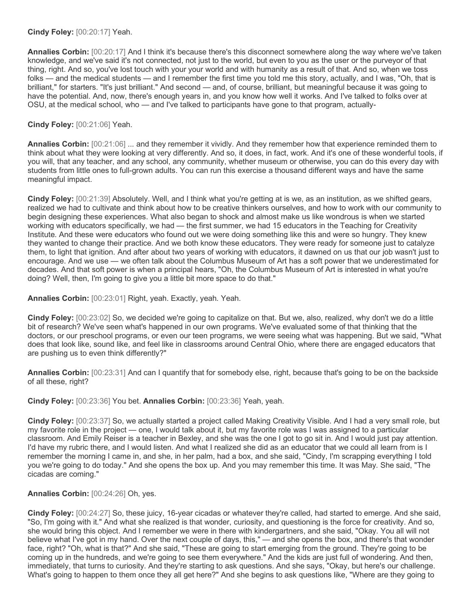## **Cindy Foley:** [00:20:17] Yeah.

**Annalies Corbin:** [00:20:17] And I think it's because there's this disconnect somewhere along the way where we've taken knowledge, and we've said it's not connected, not just to the world, but even to you as the user or the purveyor of that thing, right. And so, you've lost touch with your your world and with humanity as a result of that. And so, when we toss folks — and the medical students — and I remember the first time you told me this story, actually, and I was, "Oh, that is brilliant," for starters. "It's just brilliant." And second — and, of course, brilliant, but meaningful because it was going to have the potential. And, now, there's enough years in, and you know how well it works. And I've talked to folks over at OSU, at the medical school, who — and I've talked to participants have gone to that program, actually-

## **Cindy Foley:** [00:21:06] Yeah.

**Annalies Corbin:** [00:21:06] ... and they remember it vividly. And they remember how that experience reminded them to think about what they were looking at very differently. And so, it does, in fact, work. And it's one of these wonderful tools, if you will, that any teacher, and any school, any community, whether museum or otherwise, you can do this every day with students from little ones to full-grown adults. You can run this exercise a thousand different ways and have the same meaningful impact.

**Cindy Foley:** [00:21:39] Absolutely. Well, and I think what you're getting at is we, as an institution, as we shifted gears, realized we had to cultivate and think about how to be creative thinkers ourselves, and how to work with our community to begin designing these experiences. What also began to shock and almost make us like wondrous is when we started working with educators specifically, we had — the first summer, we had 15 educators in the Teaching for Creativity Institute. And these were educators who found out we were doing something like this and were so hungry. They knew they wanted to change their practice. And we both know these educators. They were ready for someone just to catalyze them, to light that ignition. And after about two years of working with educators, it dawned on us that our job wasn't just to encourage. And we use — we often talk about the Columbus Museum of Art has a soft power that we underestimated for decades. And that soft power is when a principal hears, "Oh, the Columbus Museum of Art is interested in what you're doing? Well, then, I'm going to give you a little bit more space to do that."

**Annalies Corbin:** [00:23:01] Right, yeah. Exactly, yeah. Yeah.

**Cindy Foley:** [00:23:02] So, we decided we're going to capitalize on that. But we, also, realized, why don't we do a little bit of research? We've seen what's happened in our own programs. We've evaluated some of that thinking that the doctors, or our preschool programs, or even our teen programs, we were seeing what was happening. But we said, "What does that look like, sound like, and feel like in classrooms around Central Ohio, where there are engaged educators that are pushing us to even think differently?"

**Annalies Corbin:** [00:23:31] And can I quantify that for somebody else, right, because that's going to be on the backside of all these, right?

**Cindy Foley:** [00:23:36] You bet. **Annalies Corbin:** [00:23:36] Yeah, yeah.

**Cindy Foley:** [00:23:37] So, we actually started a project called Making Creativity Visible. And I had a very small role, but my favorite role in the project — one, I would talk about it, but my favorite role was I was assigned to a particular classroom. And Emily Reiser is a teacher in Bexley, and she was the one I got to go sit in. And I would just pay attention. I'd have my rubric there, and I would listen. And what I realized she did as an educator that we could all learn from is I remember the morning I came in, and she, in her palm, had a box, and she said, "Cindy, I'm scrapping everything I told you we're going to do today." And she opens the box up. And you may remember this time. It was May. She said, "The cicadas are coming."

**Annalies Corbin:** [00:24:26] Oh, yes.

**Cindy Foley:** [00:24:27] So, these juicy, 16-year cicadas or whatever they're called, had started to emerge. And she said, "So, I'm going with it." And what she realized is that wonder, curiosity, and questioning is the force for creativity. And so, she would bring this object. And I remember we were in there with kindergartners, and she said, "Okay. You all will not believe what I've got in my hand. Over the next couple of days, this," — and she opens the box, and there's that wonder face, right? "Oh, what is that?" And she said, "These are going to start emerging from the ground. They're going to be coming up in the hundreds, and we're going to see them everywhere." And the kids are just full of wondering. And then, immediately, that turns to curiosity. And they're starting to ask questions. And she says, "Okay, but here's our challenge. What's going to happen to them once they all get here?" And she begins to ask questions like, "Where are they going to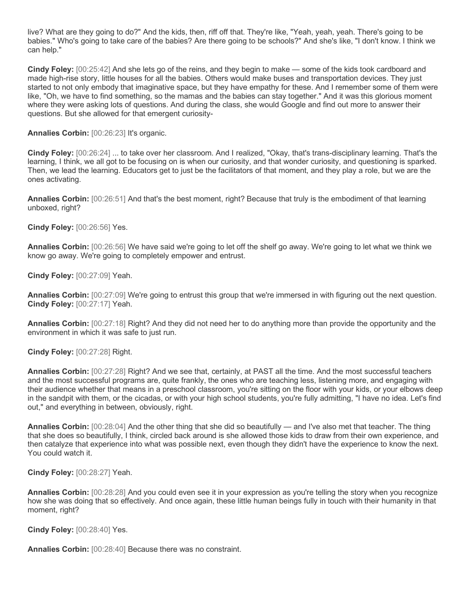live? What are they going to do?" And the kids, then, riff off that. They're like, "Yeah, yeah, yeah. There's going to be babies." Who's going to take care of the babies? Are there going to be schools?" And she's like, "I don't know. I think we can help."

**Cindy Foley:** [00:25:42] And she lets go of the reins, and they begin to make — some of the kids took cardboard and made high-rise story, little houses for all the babies. Others would make buses and transportation devices. They just started to not only embody that imaginative space, but they have empathy for these. And I remember some of them were like, "Oh, we have to find something, so the mamas and the babies can stay together." And it was this glorious moment where they were asking lots of questions. And during the class, she would Google and find out more to answer their questions. But she allowed for that emergent curiosity-

**Annalies Corbin:** [00:26:23] It's organic.

**Cindy Foley:** [00:26:24] ... to take over her classroom. And I realized, "Okay, that's trans-disciplinary learning. That's the learning, I think, we all got to be focusing on is when our curiosity, and that wonder curiosity, and questioning is sparked. Then, we lead the learning. Educators get to just be the facilitators of that moment, and they play a role, but we are the ones activating.

**Annalies Corbin:** [00:26:51] And that's the best moment, right? Because that truly is the embodiment of that learning unboxed, right?

**Cindy Foley:** [00:26:56] Yes.

**Annalies Corbin:** [00:26:56] We have said we're going to let off the shelf go away. We're going to let what we think we know go away. We're going to completely empower and entrust.

**Cindy Foley:** [00:27:09] Yeah.

**Annalies Corbin:** [00:27:09] We're going to entrust this group that we're immersed in with figuring out the next question. **Cindy Foley:** [00:27:17] Yeah.

**Annalies Corbin:** [00:27:18] Right? And they did not need her to do anything more than provide the opportunity and the environment in which it was safe to just run.

**Cindy Foley:** [00:27:28] Right.

**Annalies Corbin:** [00:27:28] Right? And we see that, certainly, at PAST all the time. And the most successful teachers and the most successful programs are, quite frankly, the ones who are teaching less, listening more, and engaging with their audience whether that means in a preschool classroom, you're sitting on the floor with your kids, or your elbows deep in the sandpit with them, or the cicadas, or with your high school students, you're fully admitting, "I have no idea. Let's find out," and everything in between, obviously, right.

**Annalies Corbin:** [00:28:04] And the other thing that she did so beautifully — and I've also met that teacher. The thing that she does so beautifully, I think, circled back around is she allowed those kids to draw from their own experience, and then catalyze that experience into what was possible next, even though they didn't have the experience to know the next. You could watch it.

**Cindy Foley:** [00:28:27] Yeah.

**Annalies Corbin:** [00:28:28] And you could even see it in your expression as you're telling the story when you recognize how she was doing that so effectively. And once again, these little human beings fully in touch with their humanity in that moment, right?

**Cindy Foley:** [00:28:40] Yes.

**Annalies Corbin:** [00:28:40] Because there was no constraint.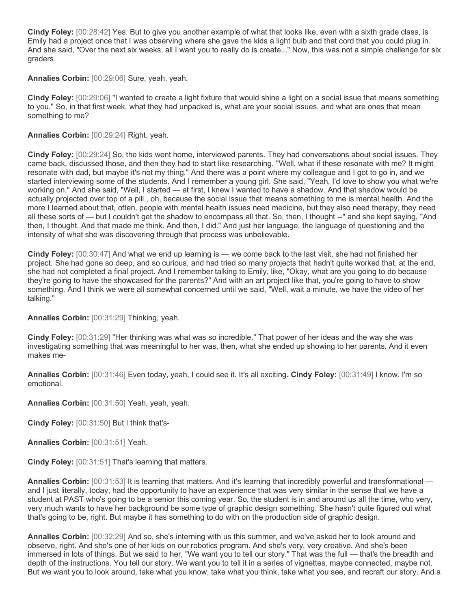**Cindy Foley:** [00:28:42] Yes. But to give you another example of what that looks like, even with a sixth grade class, is Emily had a project once that I was observing where she gave the kids a light bulb and that cord that you could plug in. And she said, "Over the next six weeks, all I want you to really do is create..." Now, this was not a simple challenge for six graders.

**Annalies Corbin:** [00:29:06] Sure, yeah, yeah.

**Cindy Foley:** [00:29:06] "I wanted to create a light fixture that would shine a light on a social issue that means something to you." So, in that first week, what they had unpacked is, what are your social issues, and what are ones that mean something to me?

## **Annalies Corbin:** [00:29:24] Right, yeah.

**Cindy Foley:** [00:29:24] So, the kids went home, interviewed parents. They had conversations about social issues. They came back, discussed those, and then they had to start like researching. "Well, what if these resonate with me? It might resonate with dad, but maybe it's not my thing." And there was a point where my colleague and I got to go in, and we started interviewing some of the students. And I remember a young girl. She said, "Yeah, I'd love to show you what we're working on." And she said, "Well, I started — at first, I knew I wanted to have a shadow. And that shadow would be actually projected over top of a pill., oh, because the social issue that means something to me is mental health. And the more I learned about that, often, people with mental health issues need medicine, but they also need therapy, they need all these sorts of — but I couldn't get the shadow to encompass all that. So, then, I thought --" and she kept saying, "And then, I thought. And that made me think. And then, I did." And just her language, the language of questioning and the intensity of what she was discovering through that process was unbelievable.

**Cindy Foley:** [00:30:47] And what we end up learning is — we come back to the last visit, she had not finished her project. She had gone so deep, and so curious, and had tried so many projects that hadn't quite worked that, at the end, she had not completed a final project. And I remember talking to Emily, like, "Okay, what are you going to do because they're going to have the showcased for the parents?" And with an art project like that, you're going to have to show something. And I think we were all somewhat concerned until we said, "Well, wait a minute, we have the video of her talking."

**Annalies Corbin:** [00:31:29] Thinking, yeah.

**Cindy Foley:** [00:31:29] "Her thinking was what was so incredible." That power of her ideas and the way she was investigating something that was meaningful to her was, then, what she ended up showing to her parents. And it even makes me-

**Annalies Corbin:** [00:31:46] Even today, yeah, I could see it. It's all exciting. **Cindy Foley:** [00:31:49] I know. I'm so emotional.

**Annalies Corbin:** [00:31:50] Yeah, yeah, yeah.

**Cindy Foley:** [00:31:50] But I think that's-

**Annalies Corbin:** [00:31:51] Yeah.

**Cindy Foley:** [00:31:51] That's learning that matters.

**Annalies Corbin:** [00:31:53] It is learning that matters. And it's learning that incredibly powerful and transformational and I just literally, today, had the opportunity to have an experience that was very similar in the sense that we have a student at PAST who's going to be a senior this coming year. So, the student is in and around us all the time, who very, very much wants to have her background be some type of graphic design something. She hasn't quite figured out what that's going to be, right. But maybe it has something to do with on the production side of graphic design.

**Annalies Corbin:** [00:32:29] And so, she's interning with us this summer, and we've asked her to look around and observe, right. And she's one of her kids on our robotics program. And she's very, very creative. And she's been immersed in lots of things. But we said to her, "We want you to tell our story." That was the full — that's the breadth and depth of the instructions. You tell our story. We want you to tell it in a series of vignettes, maybe connected, maybe not. But we want you to look around, take what you know, take what you think, take what you see, and recraft our story. And a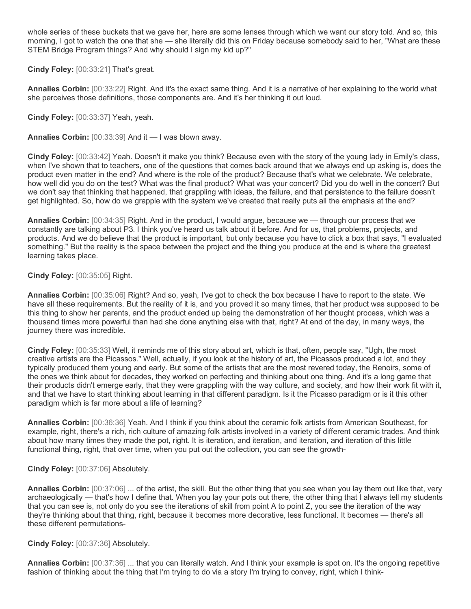whole series of these buckets that we gave her, here are some lenses through which we want our story told. And so, this morning, I got to watch the one that she — she literally did this on Friday because somebody said to her, "What are these STEM Bridge Program things? And why should I sign my kid up?"

**Cindy Foley:** [00:33:21] That's great.

**Annalies Corbin:** [00:33:22] Right. And it's the exact same thing. And it is a narrative of her explaining to the world what she perceives those definitions, those components are. And it's her thinking it out loud.

**Cindy Foley:** [00:33:37] Yeah, yeah.

**Annalies Corbin:** [00:33:39] And it — I was blown away.

**Cindy Foley:** [00:33:42] Yeah. Doesn't it make you think? Because even with the story of the young lady in Emily's class, when I've shown that to teachers, one of the questions that comes back around that we always end up asking is, does the product even matter in the end? And where is the role of the product? Because that's what we celebrate. We celebrate, how well did you do on the test? What was the final product? What was your concert? Did you do well in the concert? But we don't say that thinking that happened, that grappling with ideas, the failure, and that persistence to the failure doesn't get highlighted. So, how do we grapple with the system we've created that really puts all the emphasis at the end?

**Annalies Corbin:** [00:34:35] Right. And in the product, I would argue, because we — through our process that we constantly are talking about P3. I think you've heard us talk about it before. And for us, that problems, projects, and products. And we do believe that the product is important, but only because you have to click a box that says, "I evaluated something." But the reality is the space between the project and the thing you produce at the end is where the greatest learning takes place.

**Cindy Foley:** [00:35:05] Right.

**Annalies Corbin:** [00:35:06] Right? And so, yeah, I've got to check the box because I have to report to the state. We have all these requirements. But the reality of it is, and you proved it so many times, that her product was supposed to be this thing to show her parents, and the product ended up being the demonstration of her thought process, which was a thousand times more powerful than had she done anything else with that, right? At end of the day, in many ways, the journey there was incredible.

**Cindy Foley:** [00:35:33] Well, it reminds me of this story about art, which is that, often, people say, "Ugh, the most creative artists are the Picassos." Well, actually, if you look at the history of art, the Picassos produced a lot, and they typically produced them young and early. But some of the artists that are the most revered today, the Renoirs, some of the ones we think about for decades, they worked on perfecting and thinking about one thing. And it's a long game that their products didn't emerge early, that they were grappling with the way culture, and society, and how their work fit with it, and that we have to start thinking about learning in that different paradigm. Is it the Picasso paradigm or is it this other paradigm which is far more about a life of learning?

**Annalies Corbin:** [00:36:36] Yeah. And I think if you think about the ceramic folk artists from American Southeast, for example, right, there's a rich, rich culture of amazing folk artists involved in a variety of different ceramic trades. And think about how many times they made the pot, right. It is iteration, and iteration, and iteration, and iteration of this little functional thing, right, that over time, when you put out the collection, you can see the growth-

**Cindy Foley:** [00:37:06] Absolutely.

**Annalies Corbin:** [00:37:06] ... of the artist, the skill. But the other thing that you see when you lay them out like that, very archaeologically — that's how I define that. When you lay your pots out there, the other thing that I always tell my students that you can see is, not only do you see the iterations of skill from point A to point Z, you see the iteration of the way they're thinking about that thing, right, because it becomes more decorative, less functional. It becomes — there's all these different permutations-

**Cindy Foley:** [00:37:36] Absolutely.

**Annalies Corbin:** [00:37:36] ... that you can literally watch. And I think your example is spot on. It's the ongoing repetitive fashion of thinking about the thing that I'm trying to do via a story I'm trying to convey, right, which I think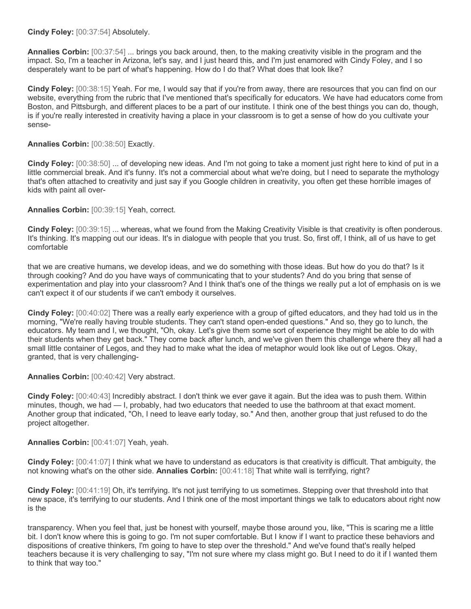**Cindy Foley:** [00:37:54] Absolutely.

**Annalies Corbin:** [00:37:54] ... brings you back around, then, to the making creativity visible in the program and the impact. So, I'm a teacher in Arizona, let's say, and I just heard this, and I'm just enamored with Cindy Foley, and I so desperately want to be part of what's happening. How do I do that? What does that look like?

**Cindy Foley:** [00:38:15] Yeah. For me, I would say that if you're from away, there are resources that you can find on our website, everything from the rubric that I've mentioned that's specifically for educators. We have had educators come from Boston, and Pittsburgh, and different places to be a part of our institute. I think one of the best things you can do, though, is if you're really interested in creativity having a place in your classroom is to get a sense of how do you cultivate your sense-

**Annalies Corbin:** [00:38:50] Exactly.

**Cindy Foley:** [00:38:50] ... of developing new ideas. And I'm not going to take a moment just right here to kind of put in a little commercial break. And it's funny. It's not a commercial about what we're doing, but I need to separate the mythology that's often attached to creativity and just say if you Google children in creativity, you often get these horrible images of kids with paint all over-

**Annalies Corbin:** [00:39:15] Yeah, correct.

**Cindy Foley:** [00:39:15] ... whereas, what we found from the Making Creativity Visible is that creativity is often ponderous. It's thinking. It's mapping out our ideas. It's in dialogue with people that you trust. So, first off, I think, all of us have to get comfortable

that we are creative humans, we develop ideas, and we do something with those ideas. But how do you do that? Is it through cooking? And do you have ways of communicating that to your students? And do you bring that sense of experimentation and play into your classroom? And I think that's one of the things we really put a lot of emphasis on is we can't expect it of our students if we can't embody it ourselves.

**Cindy Foley:** [00:40:02] There was a really early experience with a group of gifted educators, and they had told us in the morning, "We're really having trouble students. They can't stand open-ended questions." And so, they go to lunch, the educators. My team and I, we thought, "Oh, okay. Let's give them some sort of experience they might be able to do with their students when they get back." They come back after lunch, and we've given them this challenge where they all had a small little container of Legos, and they had to make what the idea of metaphor would look like out of Legos. Okay, granted, that is very challenging-

**Annalies Corbin:** [00:40:42] Very abstract.

**Cindy Foley:** [00:40:43] Incredibly abstract. I don't think we ever gave it again. But the idea was to push them. Within minutes, though, we had — I, probably, had two educators that needed to use the bathroom at that exact moment. Another group that indicated, "Oh, I need to leave early today, so." And then, another group that just refused to do the project altogether.

**Annalies Corbin:** [00:41:07] Yeah, yeah.

**Cindy Foley:** [00:41:07] I think what we have to understand as educators is that creativity is difficult. That ambiguity, the not knowing what's on the other side. **Annalies Corbin:** [00:41:18] That white wall is terrifying, right?

**Cindy Foley:** [00:41:19] Oh, it's terrifying. It's not just terrifying to us sometimes. Stepping over that threshold into that new space, it's terrifying to our students. And I think one of the most important things we talk to educators about right now is the

transparency. When you feel that, just be honest with yourself, maybe those around you, like, "This is scaring me a little bit. I don't know where this is going to go. I'm not super comfortable. But I know if I want to practice these behaviors and dispositions of creative thinkers, I'm going to have to step over the threshold." And we've found that's really helped teachers because it is very challenging to say, "I'm not sure where my class might go. But I need to do it if I wanted them to think that way too."